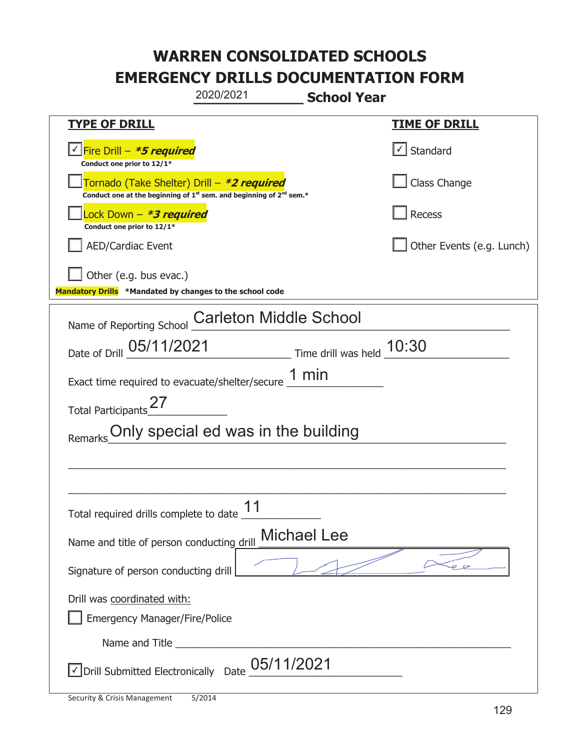|                                                                                                                                           | 2020/2021                           | <b>School Year</b>        |                           |
|-------------------------------------------------------------------------------------------------------------------------------------------|-------------------------------------|---------------------------|---------------------------|
| <b>TYPE OF DRILL</b>                                                                                                                      |                                     |                           | <b>TIME OF DRILL</b>      |
| <u>√ Fire Drill – <i>*5 required</i></u><br>Conduct one prior to 12/1*                                                                    |                                     |                           | Standard                  |
| Tornado (Take Shelter) Drill – *2 required<br>Conduct one at the beginning of 1 <sup>st</sup> sem. and beginning of 2 <sup>nd</sup> sem.* |                                     |                           | Class Change              |
| Lock Down - *3 required<br>Conduct one prior to 12/1*                                                                                     |                                     |                           | Recess                    |
| <b>AED/Cardiac Event</b>                                                                                                                  |                                     |                           | Other Events (e.g. Lunch) |
| Other (e.g. bus evac.)<br>Mandatory Drills *Mandated by changes to the school code                                                        |                                     |                           |                           |
| Name of Reporting School                                                                                                                  | <b>Carleton Middle School</b>       |                           |                           |
| Date of Drill 05/11/2021                                                                                                                  |                                     | Time drill was held 10:30 |                           |
| Exact time required to evacuate/shelter/secure $1 \text{ min}$                                                                            |                                     |                           |                           |
| <b>Total Participants</b>                                                                                                                 |                                     |                           |                           |
| Remarks                                                                                                                                   | Only special ed was in the building |                           |                           |
|                                                                                                                                           |                                     |                           |                           |
|                                                                                                                                           |                                     |                           |                           |
| Total required drills complete to date 11                                                                                                 |                                     |                           |                           |
| Name and title of person conducting drill                                                                                                 |                                     | <b>Michael Lee</b>        |                           |
| Signature of person conducting drill                                                                                                      |                                     |                           |                           |
| Drill was coordinated with:<br><b>Emergency Manager/Fire/Police</b>                                                                       |                                     |                           |                           |
|                                                                                                                                           |                                     |                           |                           |
| √ Drill Submitted Electronically Date                                                                                                     | 05/11/2021                          |                           |                           |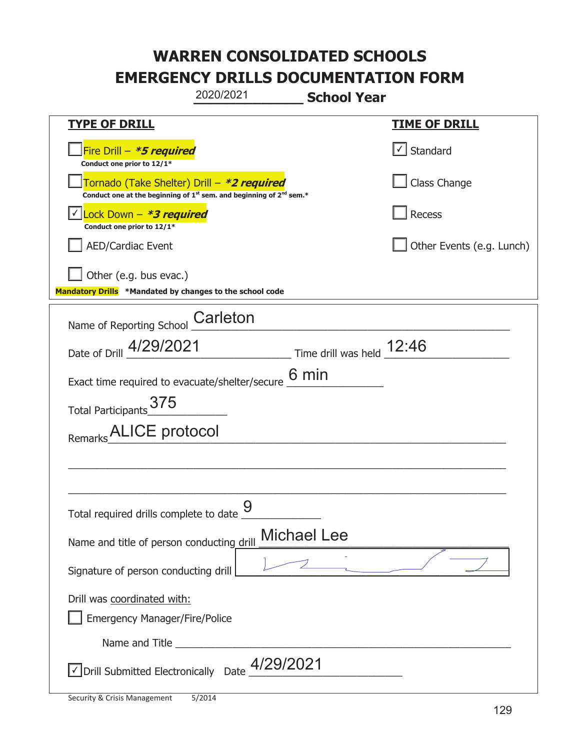|                                                                                    | 2020/2021                                                                                   | <b>School Year</b>          |                           |
|------------------------------------------------------------------------------------|---------------------------------------------------------------------------------------------|-----------------------------|---------------------------|
| <b>TYPE OF DRILL</b>                                                               |                                                                                             |                             | <u>TIME OF DRILL</u>      |
| Fire Drill - *5 required<br>Conduct one prior to 12/1*                             |                                                                                             |                             | $\cup$ Standard           |
| Tornado (Take Shelter) Drill – *2 required                                         | Conduct one at the beginning of 1 <sup>st</sup> sem. and beginning of 2 <sup>nd</sup> sem.* |                             | Class Change              |
| Lock Down - *3 required<br>Conduct one prior to 12/1*                              |                                                                                             |                             | Recess                    |
| <b>AED/Cardiac Event</b>                                                           |                                                                                             |                             | Other Events (e.g. Lunch) |
| Other (e.g. bus evac.)<br>Mandatory Drills *Mandated by changes to the school code |                                                                                             |                             |                           |
| Name of Reporting School                                                           | Carleton                                                                                    |                             |                           |
| Date of Drill 4/29/2021                                                            |                                                                                             | Time drill was held $12:46$ |                           |
| Exact time required to evacuate/shelter/secure                                     |                                                                                             | 6 min                       |                           |
| Total Participants 375                                                             |                                                                                             |                             |                           |
| Remarks ALICE protocol                                                             |                                                                                             |                             |                           |
|                                                                                    |                                                                                             |                             |                           |
|                                                                                    |                                                                                             |                             |                           |
| Total required drills complete to date $\frac{9}{4}$                               |                                                                                             |                             |                           |
| Name and title of person conducting drill                                          |                                                                                             | <b>Michael Lee</b>          |                           |
| Signature of person conducting drill                                               |                                                                                             |                             |                           |
| Drill was coordinated with:<br><b>Emergency Manager/Fire/Police</b>                |                                                                                             |                             |                           |
|                                                                                    |                                                                                             |                             |                           |
| Oprill Submitted Electronically Date 4/29/2021                                     |                                                                                             |                             |                           |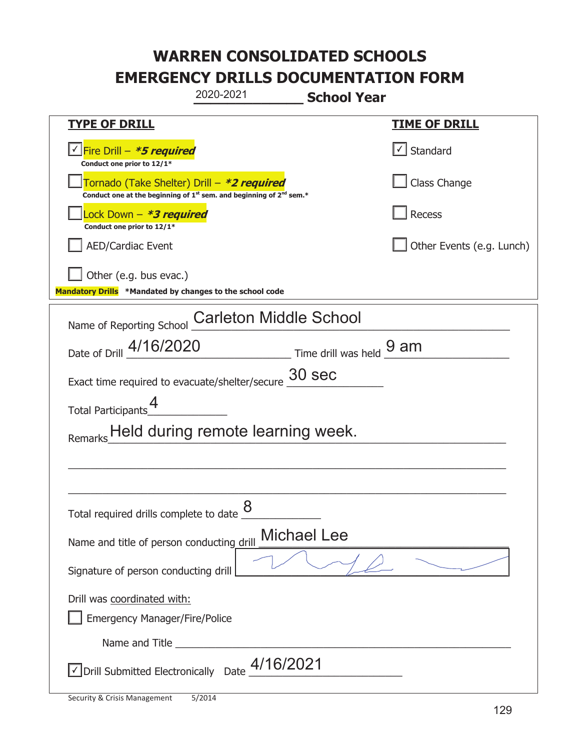|                                                                                    | 2020-2021                                                                                   | <b>School Year</b> |                           |
|------------------------------------------------------------------------------------|---------------------------------------------------------------------------------------------|--------------------|---------------------------|
| <b>TYPE OF DRILL</b>                                                               |                                                                                             |                    | <u>TIME OF DRILL</u>      |
| Fire Drill - *5 required<br>Conduct one prior to 12/1*                             |                                                                                             |                    | √ Standard                |
| Tornado (Take Shelter) Drill – *2 required                                         | Conduct one at the beginning of 1 <sup>st</sup> sem. and beginning of 2 <sup>nd</sup> sem.* |                    | Class Change              |
| Lock Down – <i>*<b>3 required</b></i><br>Conduct one prior to 12/1*                |                                                                                             |                    | Recess                    |
| <b>AED/Cardiac Event</b>                                                           |                                                                                             |                    | Other Events (e.g. Lunch) |
| Other (e.g. bus evac.)<br>Mandatory Drills *Mandated by changes to the school code |                                                                                             |                    |                           |
| Name of Reporting School                                                           | <b>Carleton Middle School</b>                                                               |                    |                           |
| Date of Drill _4/16/2020                                                           | $\frac{9 \text{ am}}{2}$ Time drill was held $\frac{9 \text{ am}}{2}$                       |                    |                           |
| Exact time required to evacuate/shelter/secure                                     | 30 sec                                                                                      |                    |                           |
| Total Participants                                                                 |                                                                                             |                    |                           |
|                                                                                    | Held during remote learning week.                                                           |                    |                           |
|                                                                                    |                                                                                             |                    |                           |
|                                                                                    |                                                                                             |                    |                           |
| Total required drills complete to date $\underline{\mathcal{8}}$                   |                                                                                             |                    |                           |
| Name and title of person conducting drill                                          | <b>Michael Lee</b>                                                                          |                    |                           |
| Signature of person conducting drill                                               |                                                                                             |                    |                           |
| Drill was coordinated with:<br><b>Emergency Manager/Fire/Police</b>                |                                                                                             |                    |                           |
|                                                                                    |                                                                                             |                    |                           |
|                                                                                    | √ Drill Submitted Electronically Date 4/16/2021                                             |                    |                           |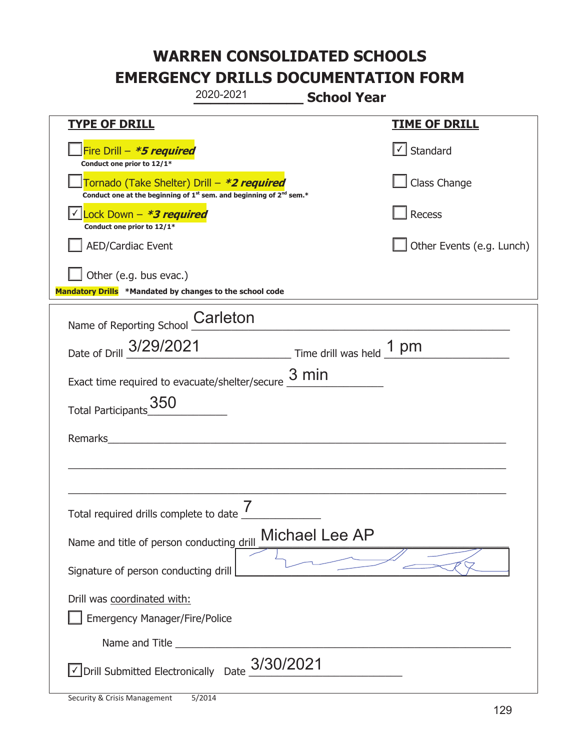|                                                                                    | 2020-2021                                                                                   | <b>School Year</b> |                           |
|------------------------------------------------------------------------------------|---------------------------------------------------------------------------------------------|--------------------|---------------------------|
| <b>TYPE OF DRILL</b>                                                               |                                                                                             |                    | <b>TIME OF DRILL</b>      |
| Fire Drill - *5 required<br>Conduct one prior to 12/1*                             |                                                                                             |                    | √ Standard                |
| Tornado (Take Shelter) Drill – *2 required                                         | Conduct one at the beginning of 1 <sup>st</sup> sem. and beginning of 2 <sup>nd</sup> sem.* |                    | Class Change              |
| Lock Down - <b>*<i>3 required</i></b><br>Conduct one prior to 12/1*                |                                                                                             |                    | Recess                    |
| AED/Cardiac Event                                                                  |                                                                                             |                    | Other Events (e.g. Lunch) |
| Other (e.g. bus evac.)<br>Mandatory Drills *Mandated by changes to the school code |                                                                                             |                    |                           |
| Name of Reporting School                                                           | Carleton                                                                                    |                    |                           |
| Date of Drill 3/29/2021                                                            | Time drill was held 1 pm                                                                    |                    |                           |
| Exact time required to evacuate/shelter/secure $\underline{3}\,\text{min}$         |                                                                                             |                    |                           |
| 350<br><b>Total Participants</b>                                                   |                                                                                             |                    |                           |
| Remarks                                                                            |                                                                                             |                    |                           |
|                                                                                    |                                                                                             |                    |                           |
|                                                                                    |                                                                                             |                    |                           |
| Total required drills complete to date _                                           | 7                                                                                           |                    |                           |
| Name and title of person conducting drill                                          |                                                                                             | Michael Lee AP     |                           |
| Signature of person conducting drill                                               |                                                                                             |                    |                           |
| Drill was coordinated with:                                                        |                                                                                             |                    |                           |
| <b>Emergency Manager/Fire/Police</b>                                               |                                                                                             |                    |                           |
| Name and Title                                                                     |                                                                                             |                    |                           |
| √ Drill Submitted Electronically Date                                              | 3/30/2021                                                                                   |                    |                           |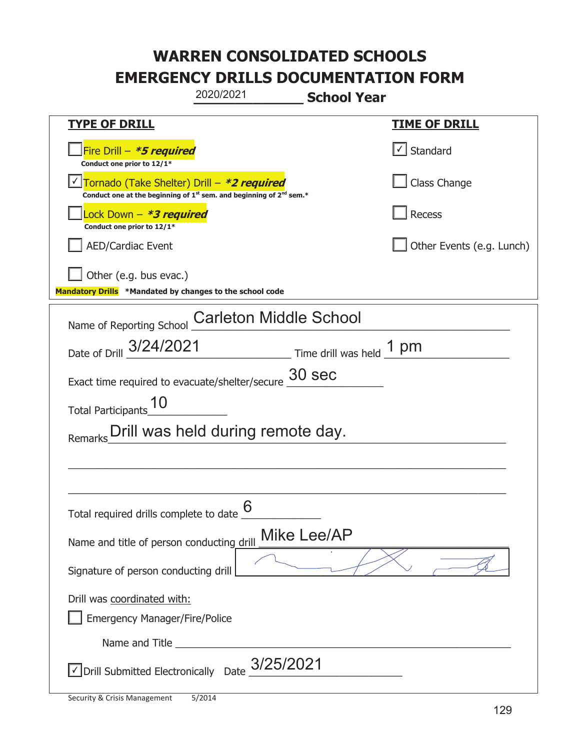|                                                                                    | 2020/2021                                                                                   | <b>School Year</b>       |                                   |
|------------------------------------------------------------------------------------|---------------------------------------------------------------------------------------------|--------------------------|-----------------------------------|
| <b>TYPE OF DRILL</b>                                                               |                                                                                             |                          | <b>TIME OF DRILL</b>              |
| Fire Drill - *5 required<br>Conduct one prior to 12/1*                             |                                                                                             |                          | $\lfloor \angle \rfloor$ Standard |
| Tornado (Take Shelter) Drill – *2 required                                         | Conduct one at the beginning of 1 <sup>st</sup> sem. and beginning of 2 <sup>nd</sup> sem.* |                          | Class Change                      |
| Lock Down - *3 required<br>Conduct one prior to 12/1*                              |                                                                                             |                          | <b>Recess</b>                     |
| <b>AED/Cardiac Event</b>                                                           |                                                                                             |                          | Other Events (e.g. Lunch)         |
| Other (e.g. bus evac.)<br>Mandatory Drills *Mandated by changes to the school code |                                                                                             |                          |                                   |
| Name of Reporting School                                                           | <b>Carleton Middle School</b>                                                               |                          |                                   |
| Date of Drill 3/24/2021                                                            |                                                                                             | Time drill was held 1 pm |                                   |
| Exact time required to evacuate/shelter/secure                                     |                                                                                             | 30 sec                   |                                   |
| <b>Total Participants</b>                                                          |                                                                                             |                          |                                   |
| Remarks                                                                            | Drill was held during remote day.                                                           |                          |                                   |
|                                                                                    |                                                                                             |                          |                                   |
|                                                                                    |                                                                                             |                          |                                   |
| Total required drills complete to date $6$                                         |                                                                                             |                          |                                   |
| Name and title of person conducting drill                                          |                                                                                             | Mike Lee/AP              |                                   |
| Signature of person conducting drill                                               |                                                                                             |                          |                                   |
| Drill was coordinated with:<br><b>Emergency Manager/Fire/Police</b>                |                                                                                             |                          |                                   |
|                                                                                    |                                                                                             |                          |                                   |
| √ Drill Submitted Electronically Date                                              | 3/25/2021                                                                                   |                          |                                   |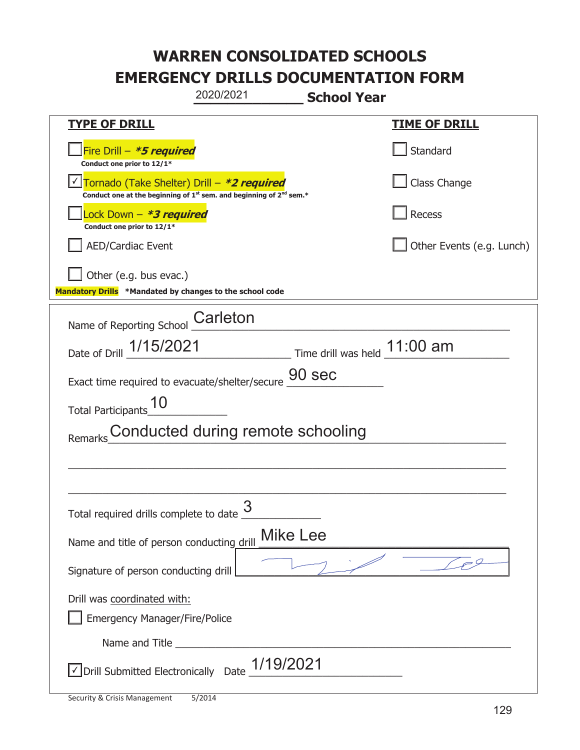|                                                                                                                             | 2020/2021                         | <b>School Year</b>           |                           |
|-----------------------------------------------------------------------------------------------------------------------------|-----------------------------------|------------------------------|---------------------------|
| <b>TYPE OF DRILL</b>                                                                                                        |                                   |                              | <u>TIME OF DRILL</u>      |
| Fire Drill - *5 required<br>Conduct one prior to 12/1*                                                                      |                                   |                              | Standard                  |
| Tornado (Take Shelter) Drill – *2 required<br>Conduct one at the beginning of $1^{st}$ sem. and beginning of $2^{nd}$ sem.* |                                   |                              | Class Change              |
| Lock Down - *3 required<br>Conduct one prior to 12/1*                                                                       |                                   |                              | <b>Recess</b>             |
| <b>AED/Cardiac Event</b>                                                                                                    |                                   |                              | Other Events (e.g. Lunch) |
| Other (e.g. bus evac.)<br>Mandatory Drills *Mandated by changes to the school code                                          |                                   |                              |                           |
| Name of Reporting School                                                                                                    | Carleton                          |                              |                           |
| Date of Drill 1/15/2021                                                                                                     |                                   | Time drill was held 11:00 am |                           |
| Exact time required to evacuate/shelter/secure                                                                              |                                   | 90 sec                       |                           |
| <b>Total Participants</b>                                                                                                   |                                   |                              |                           |
|                                                                                                                             | Conducted during remote schooling |                              |                           |
|                                                                                                                             |                                   |                              |                           |
|                                                                                                                             |                                   |                              |                           |
| Total required drills complete to date U                                                                                    | 3                                 |                              |                           |
| Name and title of person conducting drill                                                                                   |                                   | <b>Mike Lee</b>              |                           |
| Signature of person conducting drill                                                                                        |                                   |                              |                           |
| Drill was coordinated with:<br><b>Emergency Manager/Fire/Police</b>                                                         |                                   |                              |                           |
|                                                                                                                             |                                   |                              |                           |
| √ Drill Submitted Electronically Date                                                                                       | 1/19/2021                         |                              |                           |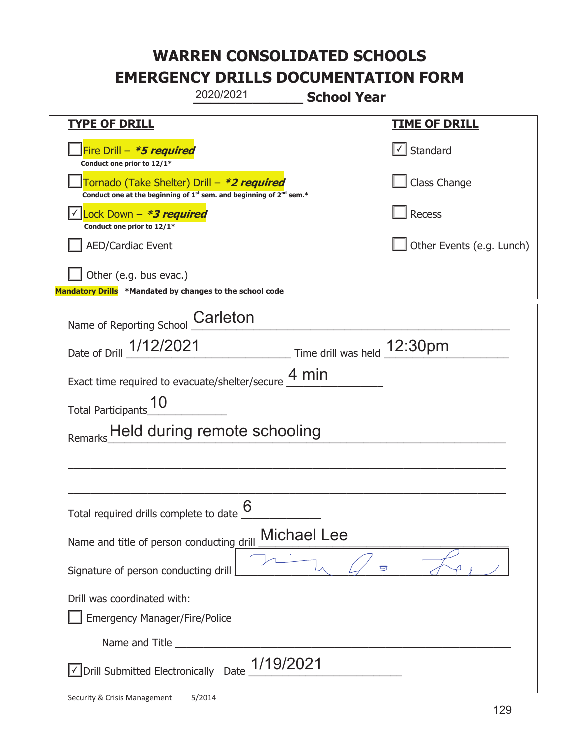|                                                                                                                             | 2020/2021                    | <b>School Year</b>          |                           |
|-----------------------------------------------------------------------------------------------------------------------------|------------------------------|-----------------------------|---------------------------|
| <u>TYPE OF DRILL</u>                                                                                                        |                              |                             | <b>TIME OF DRILL</b>      |
| Fire Drill - *5 required<br>Conduct one prior to 12/1*                                                                      |                              |                             | √ Standard                |
| Tornado (Take Shelter) Drill – *2 required<br>Conduct one at the beginning of $1^{st}$ sem. and beginning of $2^{nd}$ sem.* |                              |                             | Class Change              |
| Lock Down - *3 required<br>Conduct one prior to 12/1*                                                                       |                              |                             | Recess                    |
| <b>AED/Cardiac Event</b>                                                                                                    |                              |                             | Other Events (e.g. Lunch) |
| Other (e.g. bus evac.)<br>Mandatory Drills *Mandated by changes to the school code                                          |                              |                             |                           |
| Name of Reporting School                                                                                                    | Carleton                     |                             |                           |
| Date of Drill 1/12/2021                                                                                                     |                              | Time drill was held 12:30pm |                           |
| Exact time required to evacuate/shelter/secure $\frac{4 \text{ min}}{4}$                                                    |                              |                             |                           |
| <b>Total Participants</b>                                                                                                   |                              |                             |                           |
|                                                                                                                             | Held during remote schooling |                             |                           |
|                                                                                                                             |                              |                             |                           |
|                                                                                                                             |                              |                             |                           |
| Total required drills complete to date $6$                                                                                  |                              |                             |                           |
| Name and title of person conducting drill                                                                                   |                              | <b>Michael Lee</b>          |                           |
| Signature of person conducting drill                                                                                        |                              |                             |                           |
| Drill was coordinated with:                                                                                                 |                              |                             |                           |
| <b>Emergency Manager/Fire/Police</b>                                                                                        |                              |                             |                           |
|                                                                                                                             | 1/19/2021                    |                             |                           |
| √ Drill Submitted Electronically Date                                                                                       |                              |                             |                           |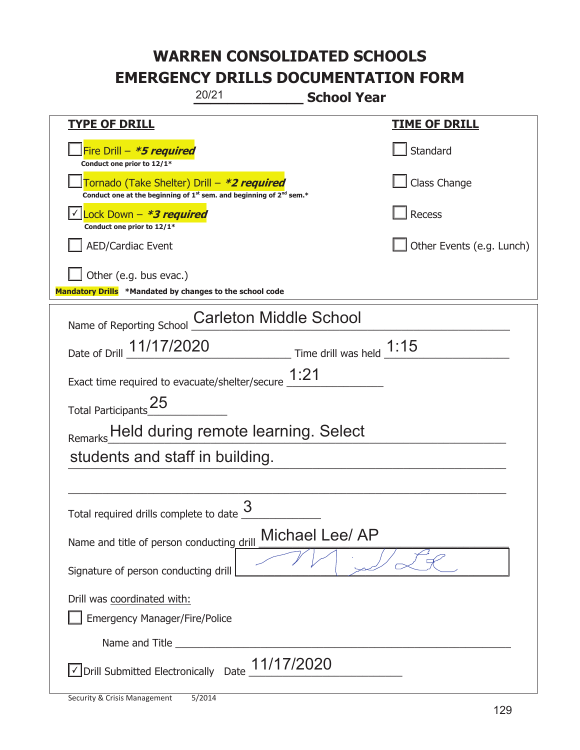| 20/21                                                                                                                       | <b>School Year</b>        |
|-----------------------------------------------------------------------------------------------------------------------------|---------------------------|
| <u>TYPE OF DRILL</u>                                                                                                        | <u>TIME OF DRILL</u>      |
| Fire Drill - *5 required<br>Conduct one prior to 12/1*                                                                      | Standard                  |
| Tornado (Take Shelter) Drill – *2 required<br>Conduct one at the beginning of $1^{st}$ sem. and beginning of $2^{nd}$ sem.* | Class Change              |
| Lock Down - *3 required<br>Conduct one prior to 12/1*                                                                       | Recess                    |
| <b>AED/Cardiac Event</b>                                                                                                    | Other Events (e.g. Lunch) |
| Other (e.g. bus evac.)<br>Mandatory Drills *Mandated by changes to the school code                                          |                           |
| <b>Carleton Middle School</b><br>Name of Reporting School                                                                   |                           |
| Date of Drill <b>11/17/2020</b> Time drill was held <b>1:15</b>                                                             |                           |
| Exact time required to evacuate/shelter/secure $\underline{1:}21$                                                           |                           |
| Total Participants <sup>25</sup>                                                                                            |                           |
| Remarks Held during remote learning. Select                                                                                 |                           |
| students and staff in building.                                                                                             |                           |
|                                                                                                                             |                           |
| 3<br>Total required drills complete to date                                                                                 |                           |
| Name and title of person conducting drill                                                                                   | Michael Lee/ AP           |
| Signature of person conducting drill                                                                                        |                           |
| Drill was coordinated with:<br><b>Emergency Manager/Fire/Police</b>                                                         |                           |
|                                                                                                                             |                           |
| √ Drill Submitted Electronically Date                                                                                       | 11/17/2020                |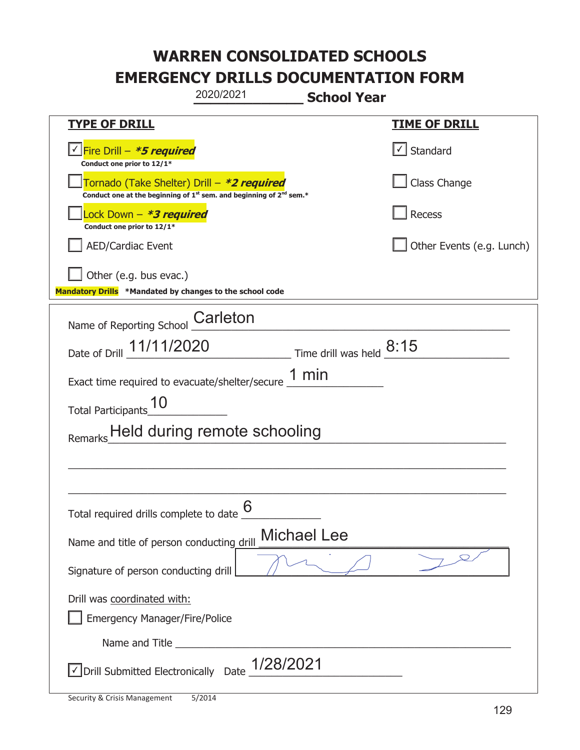|                                                                                    | 2020/2021                                                                                   | <b>School Year</b>            |                               |
|------------------------------------------------------------------------------------|---------------------------------------------------------------------------------------------|-------------------------------|-------------------------------|
| <b>TYPE OF DRILL</b>                                                               |                                                                                             |                               | <b>TIME OF DRILL</b>          |
| <u>V Fire Drill – <b>*5 required</b></u><br>Conduct one prior to 12/1*             |                                                                                             |                               | $\boxed{\checkmark}$ Standard |
| Tornado (Take Shelter) Drill – *2 required                                         | Conduct one at the beginning of 1 <sup>st</sup> sem. and beginning of 2 <sup>nd</sup> sem.* |                               | Class Change                  |
| Lock Down - *3 required<br>Conduct one prior to 12/1*                              |                                                                                             |                               | Recess                        |
| <b>AED/Cardiac Event</b>                                                           |                                                                                             |                               | Other Events (e.g. Lunch)     |
| Other (e.g. bus evac.)<br>Mandatory Drills *Mandated by changes to the school code |                                                                                             |                               |                               |
| Name of Reporting School                                                           | Carleton                                                                                    |                               |                               |
| Date of Drill 11/11/2020                                                           |                                                                                             | Time drill was held $^{8:15}$ |                               |
| Exact time required to evacuate/shelter/secure $\underline{1}$ min                 |                                                                                             |                               |                               |
| Total Participants                                                                 |                                                                                             |                               |                               |
| Remarks Held during remote schooling                                               |                                                                                             |                               |                               |
|                                                                                    |                                                                                             |                               |                               |
|                                                                                    |                                                                                             |                               |                               |
| Total required drills complete to date $6 \overline{6}$                            |                                                                                             |                               |                               |
| Name and title of person conducting drill                                          |                                                                                             | <b>Michael Lee</b>            |                               |
| Signature of person conducting drill                                               |                                                                                             |                               |                               |
| Drill was coordinated with:<br><b>Emergency Manager/Fire/Police</b>                |                                                                                             |                               |                               |
|                                                                                    |                                                                                             |                               |                               |
| √ Drill Submitted Electronically Date                                              | 1/28/2021                                                                                   |                               |                               |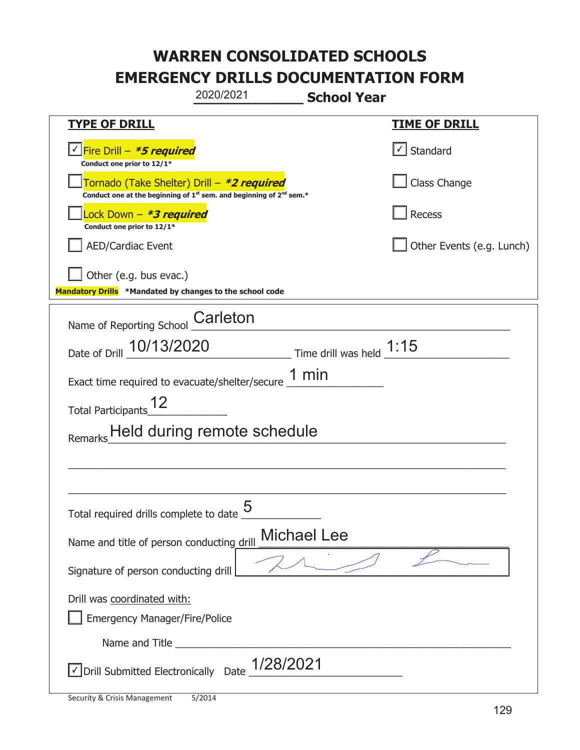|                                                                                    | 2020/2021                                                                                   | <b>School Year</b>         |                           |
|------------------------------------------------------------------------------------|---------------------------------------------------------------------------------------------|----------------------------|---------------------------|
| <b>TYPE OF DRILL</b>                                                               |                                                                                             |                            | <u>TIME OF DRILL</u>      |
| <u>√ Fire Drill – <b>*5 required</b></u><br>Conduct one prior to 12/1*             |                                                                                             |                            | Standard                  |
| Tornado (Take Shelter) Drill – *2 required                                         | Conduct one at the beginning of 1 <sup>st</sup> sem. and beginning of 2 <sup>nd</sup> sem.* |                            | Class Change              |
| Lock Down - *3 required<br>Conduct one prior to 12/1*                              |                                                                                             |                            | Recess                    |
| <b>AED/Cardiac Event</b>                                                           |                                                                                             |                            | Other Events (e.g. Lunch) |
| Other (e.g. bus evac.)<br>Mandatory Drills *Mandated by changes to the school code |                                                                                             |                            |                           |
| Name of Reporting School                                                           | Carleton                                                                                    |                            |                           |
| Date of Drill 10/13/2020                                                           |                                                                                             | Time drill was held $1:15$ |                           |
| Exact time required to evacuate/shelter/secure $\underline{1}$ min                 |                                                                                             |                            |                           |
| <b>Total Participants</b>                                                          |                                                                                             |                            |                           |
| Remarks                                                                            | Held during remote schedule                                                                 |                            |                           |
|                                                                                    |                                                                                             |                            |                           |
|                                                                                    |                                                                                             |                            |                           |
| Total required drills complete to date $\frac{0}{1}$                               | 5                                                                                           |                            |                           |
| Name and title of person conducting drill                                          |                                                                                             | <b>Michael Lee</b>         |                           |
| Signature of person conducting drill                                               |                                                                                             |                            |                           |
| Drill was coordinated with:<br><b>Emergency Manager/Fire/Police</b>                |                                                                                             |                            |                           |
| Name and Title _________                                                           |                                                                                             |                            |                           |
| √ Drill Submitted Electronically Date                                              | 1/28/2021                                                                                   |                            |                           |

t